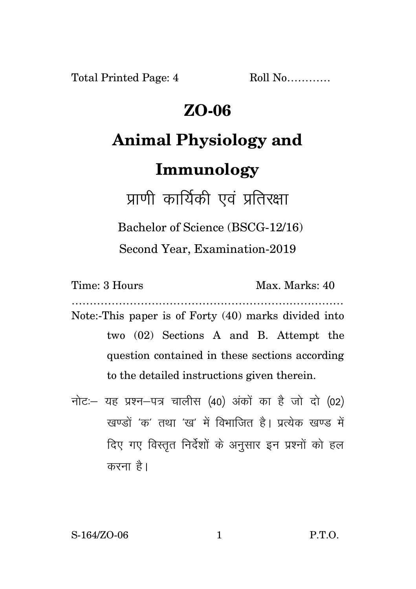**Total Printed Page: 4** 

 $Roll No$ 

### $ZO-06$

# **Animal Physiology and**

## Immunology

प्राणी कार्यिकी एवं प्रतिरक्षा

Bachelor of Science (BSCG-12/16)

Second Year, Examination-2019

Time: 3 Hours

Max. Marks: 40

Note:-This paper is of Forty (40) marks divided into two (02) Sections A and B. Attempt the question contained in these sections according to the detailed instructions given therein.

नोट: यह प्रश्न-पत्र चालीस (40) अंकों का है जो दो (02) खण्डों 'क' तथा 'ख' में विभाजित है। प्रत्येक खण्ड में दिए गए विस्तुत निर्देशों के अनुसार इन प्रश्नों को हल करना है।

S-164/ZO-06

 $P.T.O.$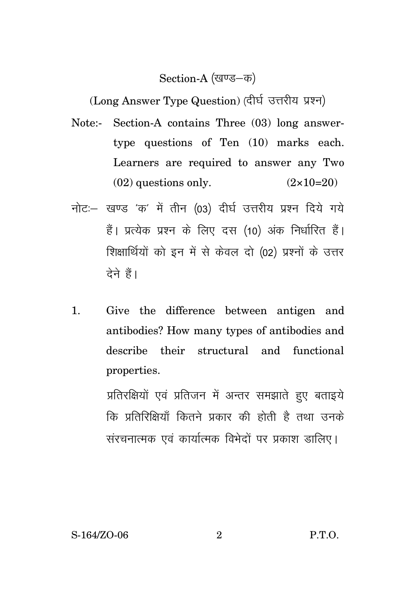### Section-A (खण्ड-क)

(Long Answer Type Question) (दीर्घ उत्तरीय प्रश्न)

- Note:- Section-A contains Three (03) long answertype questions of Ten (10) marks each. Learners are required to answer any Two  $(02)$  questions only.  $(2 \times 10=20)$
- नोट:- खण्ड 'क' में तीन (03) दीर्घ उत्तरीय प्रश्न दिये गये हैं। प्रत्येक प्रश्न के लिए दस (10) अंक निर्धारित हैं। शिक्षार्थियों को इन में से केवल दो (02) प्रश्नों के उत्तर देने हैं।
- $\mathbf{1}$ . Give the difference between antigen and antibodies? How many types of antibodies and describe their structural and functional properties.

प्रतिरक्षियों एवं प्रतिजन में अन्तर समझाते हुए बताइये कि प्रतिरिक्षियाँ कितने प्रकार की होती है तथा उनके संरचनात्मक एवं कार्यात्मक विभेदों पर प्रकाश डालिए।

 $\overline{2}$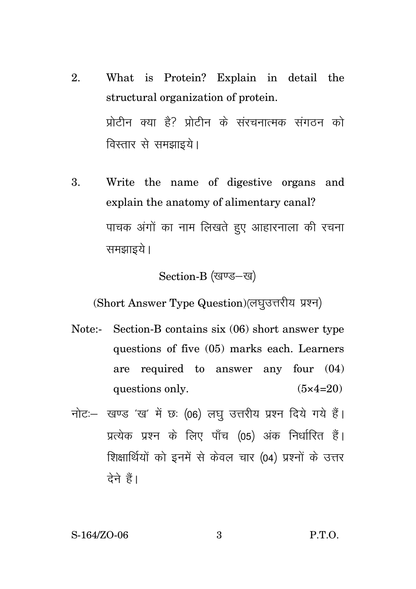- 2. What is Protein? Explain in detail the structural organization of protein. प्रोटीन क्या है? प्रोटीन के संरचनात्मक संगतन को विस्तार से समझाइये।
- 3. Write the name of digestive organs and explain the anatomy of alimentary canal? पाचक अंगों का नाम लिखते हुए आहारनाला की रचना समझाइये ।

### Section-B (खण्ड-ख)

(Short Answer Type Question) (लघुउत्तरीय प्रश्न)

- Note:- Section-B contains six (06) short answer type questions of five (05) marks each. Learners are required to answer any four (04) questions only.  $(5 \times 4=20)$
- नोट: खण्ड 'ख' में छः (06) लघु उत्तरीय प्रश्न दिये गये हैं। प्रत्येक प्रश्न के लिए पाँच (05) अंक निर्धारित हैं। शिक्षार्थियों को इनमें से केवल चार (04) प्रश्नों के उत्तर देने हैं।

S-164/ZO-06 3 P.T.O.